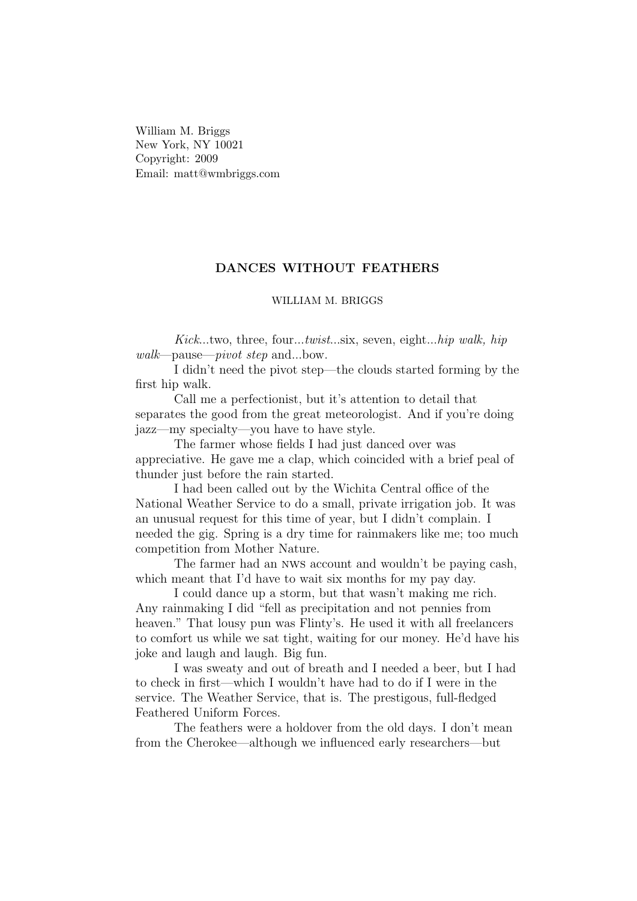William M. Briggs New York, NY 10021 Copyright: 2009 Email: matt@wmbriggs.com

## DANCES WITHOUT FEATHERS

## WILLIAM M. BRIGGS

Kick...two, three, four...twist...six, seven, eight...hip walk, hip walk—pause—pivot step and...bow.

I didn't need the pivot step—the clouds started forming by the first hip walk.

Call me a perfectionist, but it's attention to detail that separates the good from the great meteorologist. And if you're doing jazz—my specialty—you have to have style.

The farmer whose fields I had just danced over was appreciative. He gave me a clap, which coincided with a brief peal of thunder just before the rain started.

I had been called out by the Wichita Central office of the National Weather Service to do a small, private irrigation job. It was an unusual request for this time of year, but I didn't complain. I needed the gig. Spring is a dry time for rainmakers like me; too much competition from Mother Nature.

The farmer had an nws account and wouldn't be paying cash, which meant that I'd have to wait six months for my pay day.

I could dance up a storm, but that wasn't making me rich. Any rainmaking I did "fell as precipitation and not pennies from heaven." That lousy pun was Flinty's. He used it with all freelancers to comfort us while we sat tight, waiting for our money. He'd have his joke and laugh and laugh. Big fun.

I was sweaty and out of breath and I needed a beer, but I had to check in first—which I wouldn't have had to do if I were in the service. The Weather Service, that is. The prestigous, full-fledged Feathered Uniform Forces.

The feathers were a holdover from the old days. I don't mean from the Cherokee—although we influenced early researchers—but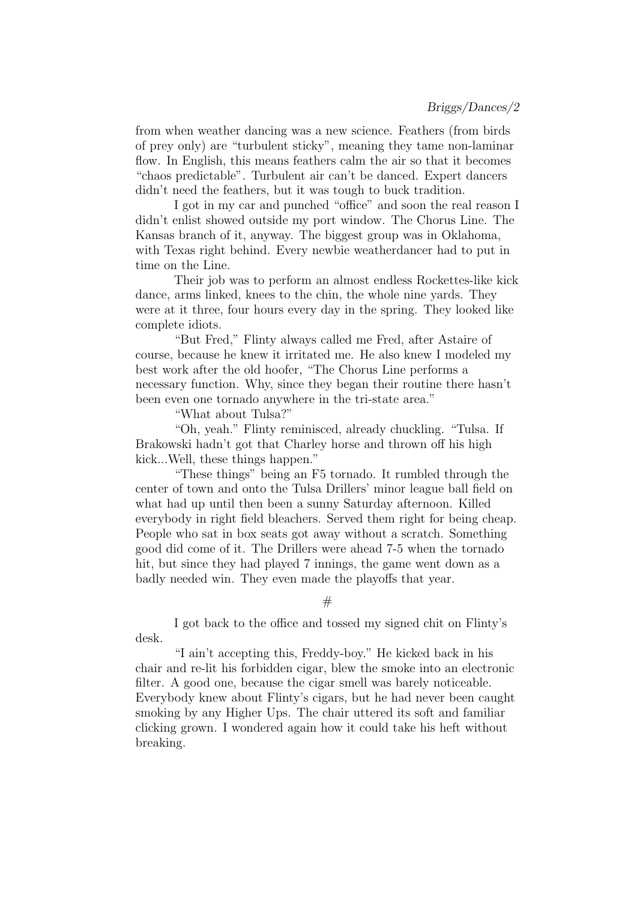from when weather dancing was a new science. Feathers (from birds of prey only) are "turbulent sticky", meaning they tame non-laminar flow. In English, this means feathers calm the air so that it becomes "chaos predictable". Turbulent air can't be danced. Expert dancers didn't need the feathers, but it was tough to buck tradition.

I got in my car and punched "office" and soon the real reason I didn't enlist showed outside my port window. The Chorus Line. The Kansas branch of it, anyway. The biggest group was in Oklahoma, with Texas right behind. Every newbie weatherdancer had to put in time on the Line.

Their job was to perform an almost endless Rockettes-like kick dance, arms linked, knees to the chin, the whole nine yards. They were at it three, four hours every day in the spring. They looked like complete idiots.

"But Fred," Flinty always called me Fred, after Astaire of course, because he knew it irritated me. He also knew I modeled my best work after the old hoofer, "The Chorus Line performs a necessary function. Why, since they began their routine there hasn't been even one tornado anywhere in the tri-state area."

"What about Tulsa?"

"Oh, yeah." Flinty reminisced, already chuckling. "Tulsa. If Brakowski hadn't got that Charley horse and thrown off his high kick...Well, these things happen."

"These things" being an F5 tornado. It rumbled through the center of town and onto the Tulsa Drillers' minor league ball field on what had up until then been a sunny Saturday afternoon. Killed everybody in right field bleachers. Served them right for being cheap. People who sat in box seats got away without a scratch. Something good did come of it. The Drillers were ahead 7-5 when the tornado hit, but since they had played 7 innings, the game went down as a badly needed win. They even made the playoffs that year.

 $#$ 

I got back to the office and tossed my signed chit on Flinty's desk.

"I ain't accepting this, Freddy-boy." He kicked back in his chair and re-lit his forbidden cigar, blew the smoke into an electronic filter. A good one, because the cigar smell was barely noticeable. Everybody knew about Flinty's cigars, but he had never been caught smoking by any Higher Ups. The chair uttered its soft and familiar clicking grown. I wondered again how it could take his heft without breaking.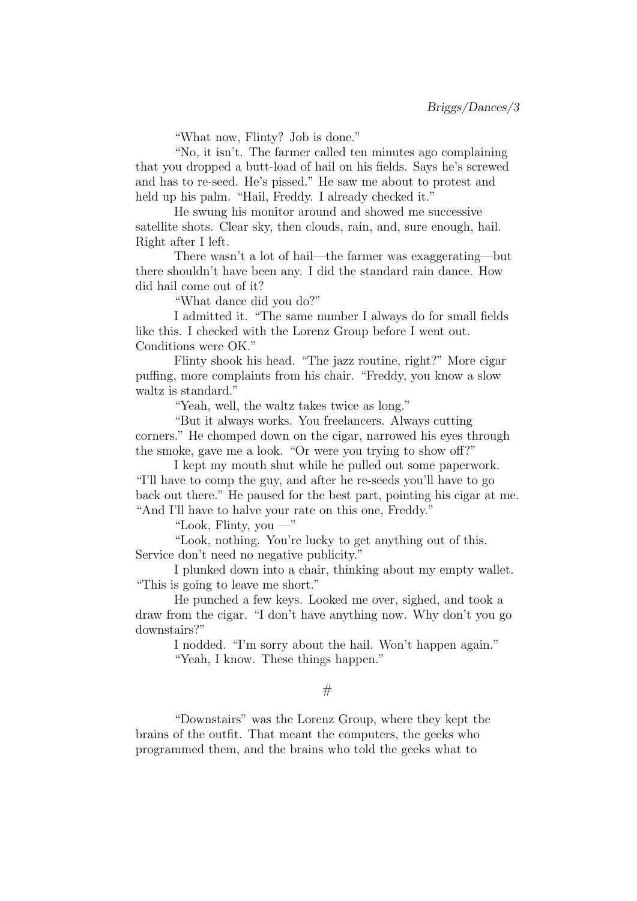"What now, Flinty? Job is done."

"No, it isn't. The farmer called ten minutes ago complaining that you dropped a butt-load of hail on his fields. Says he's screwed and has to re-seed. He's pissed." He saw me about to protest and held up his palm. "Hail, Freddy. I already checked it."

He swung his monitor around and showed me successive satellite shots. Clear sky, then clouds, rain, and, sure enough, hail. Right after I left.

There wasn't a lot of hail—the farmer was exaggerating—but there shouldn't have been any. I did the standard rain dance. How did hail come out of it?

"What dance did you do?"

I admitted it. "The same number I always do for small fields like this. I checked with the Lorenz Group before I went out. Conditions were OK."

Flinty shook his head. "The jazz routine, right?" More cigar puffing, more complaints from his chair. "Freddy, you know a slow waltz is standard."

"Yeah, well, the waltz takes twice as long."

"But it always works. You freelancers. Always cutting corners." He chomped down on the cigar, narrowed his eyes through the smoke, gave me a look. "Or were you trying to show off?"

I kept my mouth shut while he pulled out some paperwork. "I'll have to comp the guy, and after he re-seeds you'll have to go back out there." He paused for the best part, pointing his cigar at me. "And I'll have to halve your rate on this one, Freddy."

"Look, Flinty, you —"

"Look, nothing. You're lucky to get anything out of this. Service don't need no negative publicity."

I plunked down into a chair, thinking about my empty wallet. "This is going to leave me short."

He punched a few keys. Looked me over, sighed, and took a draw from the cigar. "I don't have anything now. Why don't you go downstairs?"

I nodded. "I'm sorry about the hail. Won't happen again." "Yeah, I know. These things happen."

## $#$

"Downstairs" was the Lorenz Group, where they kept the brains of the outfit. That meant the computers, the geeks who programmed them, and the brains who told the geeks what to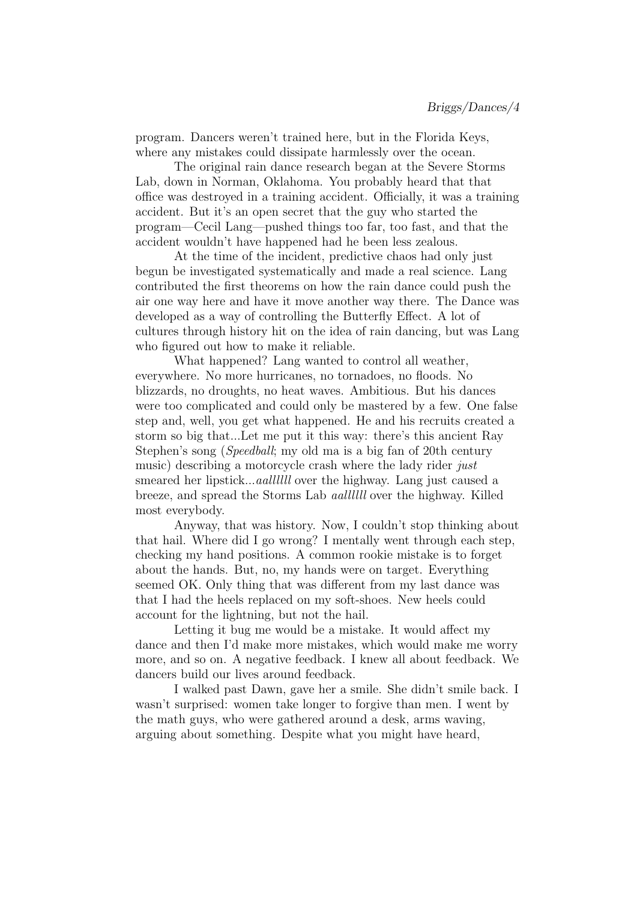program. Dancers weren't trained here, but in the Florida Keys, where any mistakes could dissipate harmlessly over the ocean.

The original rain dance research began at the Severe Storms Lab, down in Norman, Oklahoma. You probably heard that that office was destroyed in a training accident. Officially, it was a training accident. But it's an open secret that the guy who started the program—Cecil Lang—pushed things too far, too fast, and that the accident wouldn't have happened had he been less zealous.

At the time of the incident, predictive chaos had only just begun be investigated systematically and made a real science. Lang contributed the first theorems on how the rain dance could push the air one way here and have it move another way there. The Dance was developed as a way of controlling the Butterfly Effect. A lot of cultures through history hit on the idea of rain dancing, but was Lang who figured out how to make it reliable.

What happened? Lang wanted to control all weather, everywhere. No more hurricanes, no tornadoes, no floods. No blizzards, no droughts, no heat waves. Ambitious. But his dances were too complicated and could only be mastered by a few. One false step and, well, you get what happened. He and his recruits created a storm so big that...Let me put it this way: there's this ancient Ray Stephen's song (Speedball; my old ma is a big fan of 20th century music) describing a motorcycle crash where the lady rider just smeared her lipstick...aallllll over the highway. Lang just caused a breeze, and spread the Storms Lab aallllll over the highway. Killed most everybody.

Anyway, that was history. Now, I couldn't stop thinking about that hail. Where did I go wrong? I mentally went through each step, checking my hand positions. A common rookie mistake is to forget about the hands. But, no, my hands were on target. Everything seemed OK. Only thing that was different from my last dance was that I had the heels replaced on my soft-shoes. New heels could account for the lightning, but not the hail.

Letting it bug me would be a mistake. It would affect my dance and then I'd make more mistakes, which would make me worry more, and so on. A negative feedback. I knew all about feedback. We dancers build our lives around feedback.

I walked past Dawn, gave her a smile. She didn't smile back. I wasn't surprised: women take longer to forgive than men. I went by the math guys, who were gathered around a desk, arms waving, arguing about something. Despite what you might have heard,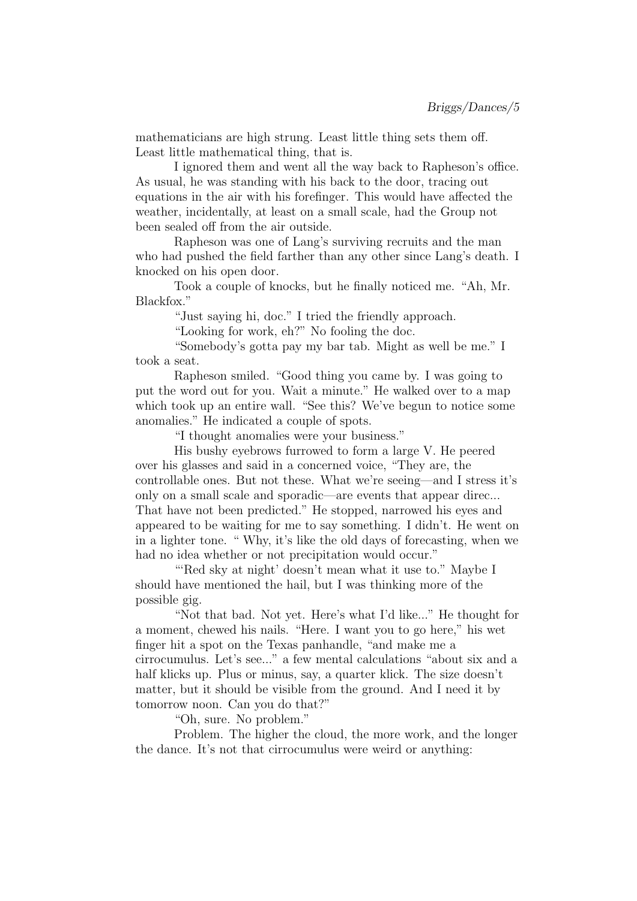mathematicians are high strung. Least little thing sets them off. Least little mathematical thing, that is.

I ignored them and went all the way back to Rapheson's office. As usual, he was standing with his back to the door, tracing out equations in the air with his forefinger. This would have affected the weather, incidentally, at least on a small scale, had the Group not been sealed off from the air outside.

Rapheson was one of Lang's surviving recruits and the man who had pushed the field farther than any other since Lang's death. I knocked on his open door.

Took a couple of knocks, but he finally noticed me. "Ah, Mr. Blackfox."

"Just saying hi, doc." I tried the friendly approach.

"Looking for work, eh?" No fooling the doc.

"Somebody's gotta pay my bar tab. Might as well be me." I took a seat.

Rapheson smiled. "Good thing you came by. I was going to put the word out for you. Wait a minute." He walked over to a map which took up an entire wall. "See this? We've begun to notice some anomalies." He indicated a couple of spots.

"I thought anomalies were your business."

His bushy eyebrows furrowed to form a large V. He peered over his glasses and said in a concerned voice, "They are, the controllable ones. But not these. What we're seeing—and I stress it's only on a small scale and sporadic—are events that appear direc... That have not been predicted." He stopped, narrowed his eyes and appeared to be waiting for me to say something. I didn't. He went on in a lighter tone. " Why, it's like the old days of forecasting, when we had no idea whether or not precipitation would occur."

"Red sky at night' doesn't mean what it use to." Maybe I should have mentioned the hail, but I was thinking more of the possible gig.

"Not that bad. Not yet. Here's what I'd like..." He thought for a moment, chewed his nails. "Here. I want you to go here," his wet finger hit a spot on the Texas panhandle, "and make me a cirrocumulus. Let's see..." a few mental calculations "about six and a half klicks up. Plus or minus, say, a quarter klick. The size doesn't matter, but it should be visible from the ground. And I need it by tomorrow noon. Can you do that?"

"Oh, sure. No problem."

Problem. The higher the cloud, the more work, and the longer the dance. It's not that cirrocumulus were weird or anything: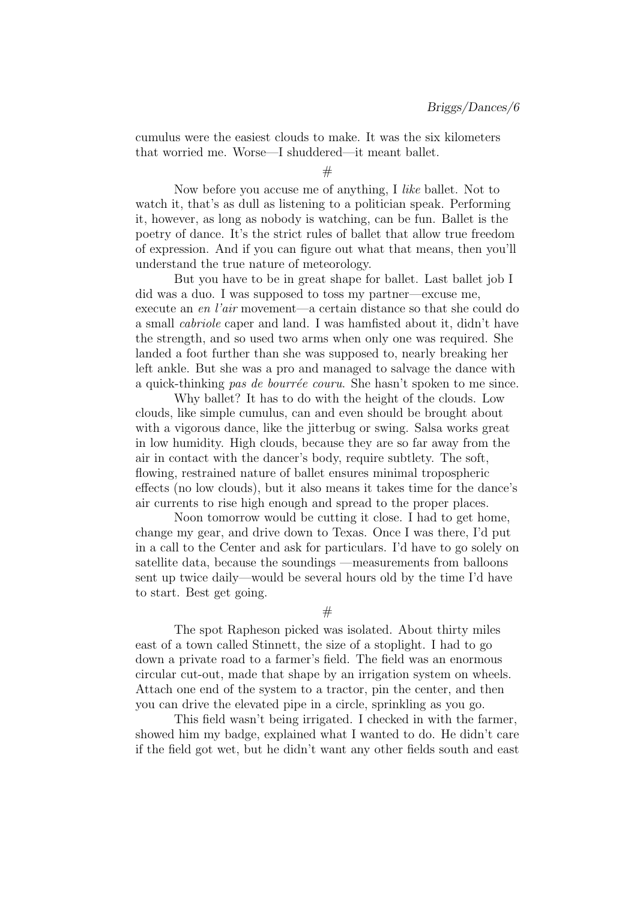cumulus were the easiest clouds to make. It was the six kilometers that worried me. Worse—I shuddered—it meant ballet.

 $#$ 

Now before you accuse me of anything, I like ballet. Not to watch it, that's as dull as listening to a politician speak. Performing it, however, as long as nobody is watching, can be fun. Ballet is the poetry of dance. It's the strict rules of ballet that allow true freedom of expression. And if you can figure out what that means, then you'll understand the true nature of meteorology.

But you have to be in great shape for ballet. Last ballet job I did was a duo. I was supposed to toss my partner—excuse me, execute an en l'air movement—a certain distance so that she could do a small cabriole caper and land. I was hamfisted about it, didn't have the strength, and so used two arms when only one was required. She landed a foot further than she was supposed to, nearly breaking her left ankle. But she was a pro and managed to salvage the dance with a quick-thinking pas de bourrée couru. She hasn't spoken to me since.

Why ballet? It has to do with the height of the clouds. Low clouds, like simple cumulus, can and even should be brought about with a vigorous dance, like the jitterbug or swing. Salsa works great in low humidity. High clouds, because they are so far away from the air in contact with the dancer's body, require subtlety. The soft, flowing, restrained nature of ballet ensures minimal tropospheric effects (no low clouds), but it also means it takes time for the dance's air currents to rise high enough and spread to the proper places.

Noon tomorrow would be cutting it close. I had to get home, change my gear, and drive down to Texas. Once I was there, I'd put in a call to the Center and ask for particulars. I'd have to go solely on satellite data, because the soundings —measurements from balloons sent up twice daily—would be several hours old by the time I'd have to start. Best get going.

 $#$ 

The spot Rapheson picked was isolated. About thirty miles east of a town called Stinnett, the size of a stoplight. I had to go down a private road to a farmer's field. The field was an enormous circular cut-out, made that shape by an irrigation system on wheels. Attach one end of the system to a tractor, pin the center, and then you can drive the elevated pipe in a circle, sprinkling as you go.

This field wasn't being irrigated. I checked in with the farmer, showed him my badge, explained what I wanted to do. He didn't care if the field got wet, but he didn't want any other fields south and east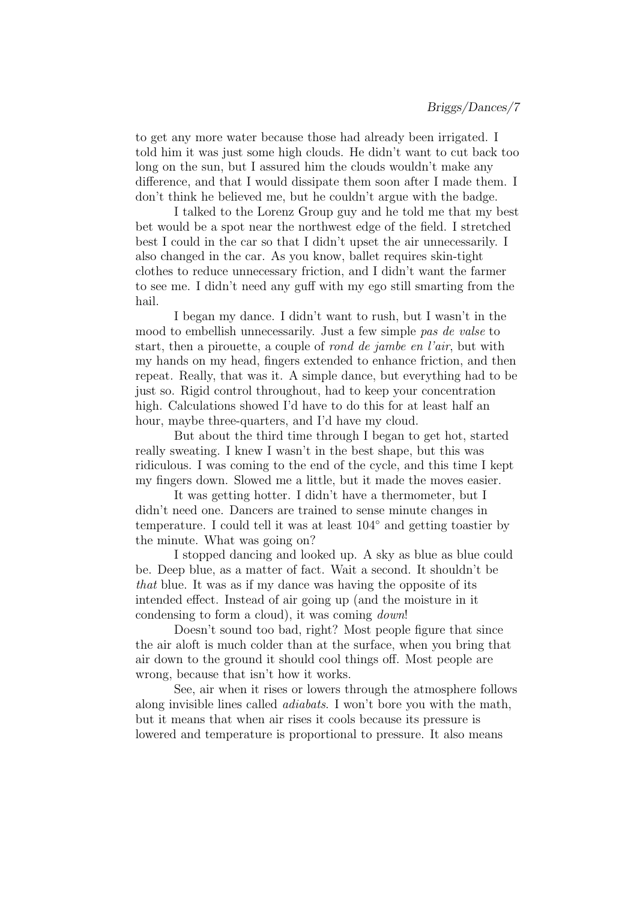to get any more water because those had already been irrigated. I told him it was just some high clouds. He didn't want to cut back too long on the sun, but I assured him the clouds wouldn't make any difference, and that I would dissipate them soon after I made them. I don't think he believed me, but he couldn't argue with the badge.

I talked to the Lorenz Group guy and he told me that my best bet would be a spot near the northwest edge of the field. I stretched best I could in the car so that I didn't upset the air unnecessarily. I also changed in the car. As you know, ballet requires skin-tight clothes to reduce unnecessary friction, and I didn't want the farmer to see me. I didn't need any guff with my ego still smarting from the hail.

I began my dance. I didn't want to rush, but I wasn't in the mood to embellish unnecessarily. Just a few simple pas de valse to start, then a pirouette, a couple of rond de jambe en l'air, but with my hands on my head, fingers extended to enhance friction, and then repeat. Really, that was it. A simple dance, but everything had to be just so. Rigid control throughout, had to keep your concentration high. Calculations showed I'd have to do this for at least half an hour, maybe three-quarters, and I'd have my cloud.

But about the third time through I began to get hot, started really sweating. I knew I wasn't in the best shape, but this was ridiculous. I was coming to the end of the cycle, and this time I kept my fingers down. Slowed me a little, but it made the moves easier.

It was getting hotter. I didn't have a thermometer, but I didn't need one. Dancers are trained to sense minute changes in temperature. I could tell it was at least 104◦ and getting toastier by the minute. What was going on?

I stopped dancing and looked up. A sky as blue as blue could be. Deep blue, as a matter of fact. Wait a second. It shouldn't be that blue. It was as if my dance was having the opposite of its intended effect. Instead of air going up (and the moisture in it condensing to form a cloud), it was coming down!

Doesn't sound too bad, right? Most people figure that since the air aloft is much colder than at the surface, when you bring that air down to the ground it should cool things off. Most people are wrong, because that isn't how it works.

See, air when it rises or lowers through the atmosphere follows along invisible lines called adiabats. I won't bore you with the math, but it means that when air rises it cools because its pressure is lowered and temperature is proportional to pressure. It also means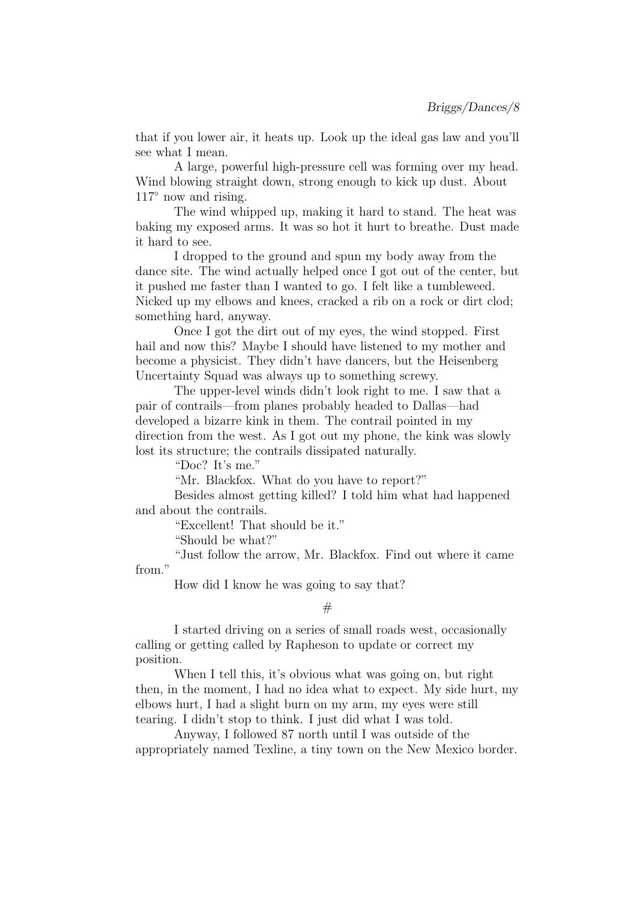that if you lower air, it heats up. Look up the ideal gas law and you'll see what I mean.

A large, powerful high-pressure cell was forming over my head. Wind blowing straight down, strong enough to kick up dust. About  $117^\circ$  now and rising.

The wind whipped up, making it hard to stand. The heat was baking my exposed arms. It was so hot it hurt to breathe. Dust made it hard to see.

I dropped to the ground and spun my body away from the dance site. The wind actually helped once I got out of the center, but it pushed me faster than I wanted to go. I felt like a tumbleweed. Nicked up my elbows and knees, cracked a rib on a rock or dirt clod; something hard, anyway.

Once I got the dirt out of my eyes, the wind stopped. First hail and now this? Maybe I should have listened to my mother and become a physicist. They didn't have dancers, but the Heisenberg Uncertainty Squad was always up to something screwy.

The upper-level winds didn't look right to me. I saw that a pair of contrails—from planes probably headed to Dallas—had developed a bizarre kink in them. The contrail pointed in my direction from the west. As I got out my phone, the kink was slowly lost its structure; the contrails dissipated naturally.

"Doc? It's me."

"Mr. Blackfox. What do you have to report?"

Besides almost getting killed? I told him what had happened and about the contrails.

"Excellent! That should be it."

"Should be what?"

"Just follow the arrow, Mr. Blackfox. Find out where it came from."

How did I know he was going to say that?

I started driving on a series of small roads west, occasionally calling or getting called by Rapheson to update or correct my position.

When I tell this, it's obvious what was going on, but right then, in the moment, I had no idea what to expect. My side hurt, my elbows hurt, I had a slight burn on my arm, my eyes were still tearing. I didn't stop to think. I just did what I was told.

Anyway, I followed 87 north until I was outside of the appropriately named Texline, a tiny town on the New Mexico border.

 $#$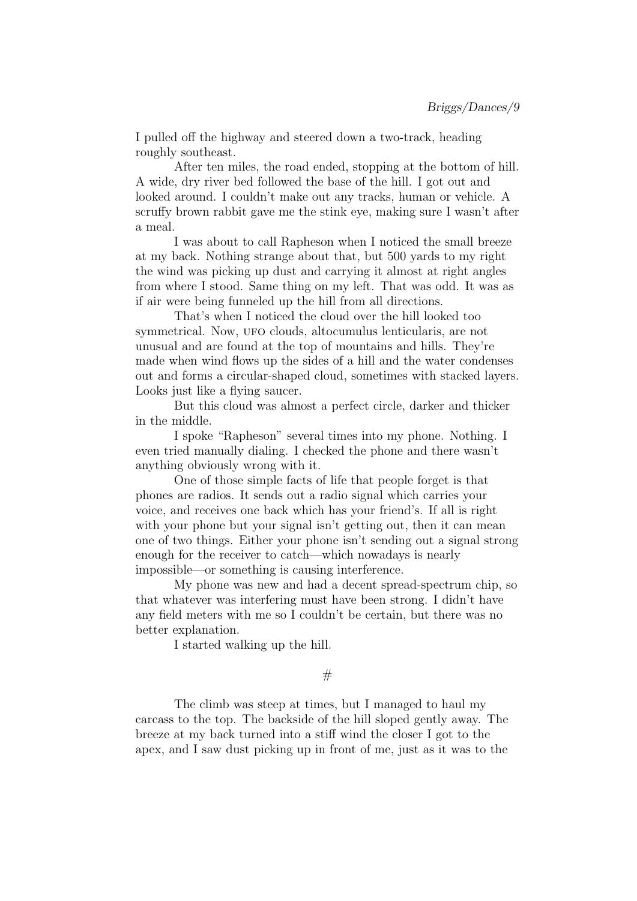I pulled off the highway and steered down a two-track, heading roughly southeast.

After ten miles, the road ended, stopping at the bottom of hill. A wide, dry river bed followed the base of the hill. I got out and looked around. I couldn't make out any tracks, human or vehicle. A scruffy brown rabbit gave me the stink eye, making sure I wasn't after a meal.

I was about to call Rapheson when I noticed the small breeze at my back. Nothing strange about that, but 500 yards to my right the wind was picking up dust and carrying it almost at right angles from where I stood. Same thing on my left. That was odd. It was as if air were being funneled up the hill from all directions.

That's when I noticed the cloud over the hill looked too symmetrical. Now, ufo clouds, altocumulus lenticularis, are not unusual and are found at the top of mountains and hills. They're made when wind flows up the sides of a hill and the water condenses out and forms a circular-shaped cloud, sometimes with stacked layers. Looks just like a flying saucer.

But this cloud was almost a perfect circle, darker and thicker in the middle.

I spoke "Rapheson" several times into my phone. Nothing. I even tried manually dialing. I checked the phone and there wasn't anything obviously wrong with it.

One of those simple facts of life that people forget is that phones are radios. It sends out a radio signal which carries your voice, and receives one back which has your friend's. If all is right with your phone but your signal isn't getting out, then it can mean one of two things. Either your phone isn't sending out a signal strong enough for the receiver to catch—which nowadays is nearly impossible—or something is causing interference.

My phone was new and had a decent spread-spectrum chip, so that whatever was interfering must have been strong. I didn't have any field meters with me so I couldn't be certain, but there was no better explanation.

I started walking up the hill.

 $#$ 

The climb was steep at times, but I managed to haul my carcass to the top. The backside of the hill sloped gently away. The breeze at my back turned into a stiff wind the closer I got to the apex, and I saw dust picking up in front of me, just as it was to the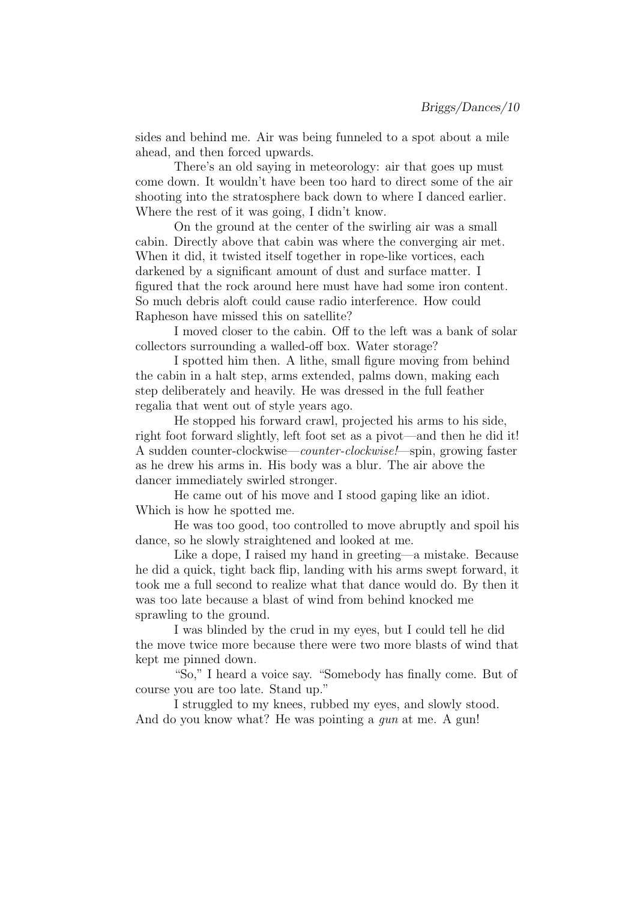sides and behind me. Air was being funneled to a spot about a mile ahead, and then forced upwards.

There's an old saying in meteorology: air that goes up must come down. It wouldn't have been too hard to direct some of the air shooting into the stratosphere back down to where I danced earlier. Where the rest of it was going, I didn't know.

On the ground at the center of the swirling air was a small cabin. Directly above that cabin was where the converging air met. When it did, it twisted itself together in rope-like vortices, each darkened by a significant amount of dust and surface matter. I figured that the rock around here must have had some iron content. So much debris aloft could cause radio interference. How could Rapheson have missed this on satellite?

I moved closer to the cabin. Off to the left was a bank of solar collectors surrounding a walled-off box. Water storage?

I spotted him then. A lithe, small figure moving from behind the cabin in a halt step, arms extended, palms down, making each step deliberately and heavily. He was dressed in the full feather regalia that went out of style years ago.

He stopped his forward crawl, projected his arms to his side, right foot forward slightly, left foot set as a pivot—and then he did it! A sudden counter-clockwise—counter-clockwise!—spin, growing faster as he drew his arms in. His body was a blur. The air above the dancer immediately swirled stronger.

He came out of his move and I stood gaping like an idiot. Which is how he spotted me.

He was too good, too controlled to move abruptly and spoil his dance, so he slowly straightened and looked at me.

Like a dope, I raised my hand in greeting—a mistake. Because he did a quick, tight back flip, landing with his arms swept forward, it took me a full second to realize what that dance would do. By then it was too late because a blast of wind from behind knocked me sprawling to the ground.

I was blinded by the crud in my eyes, but I could tell he did the move twice more because there were two more blasts of wind that kept me pinned down.

"So," I heard a voice say. "Somebody has finally come. But of course you are too late. Stand up."

I struggled to my knees, rubbed my eyes, and slowly stood. And do you know what? He was pointing a *gun* at me. A gun!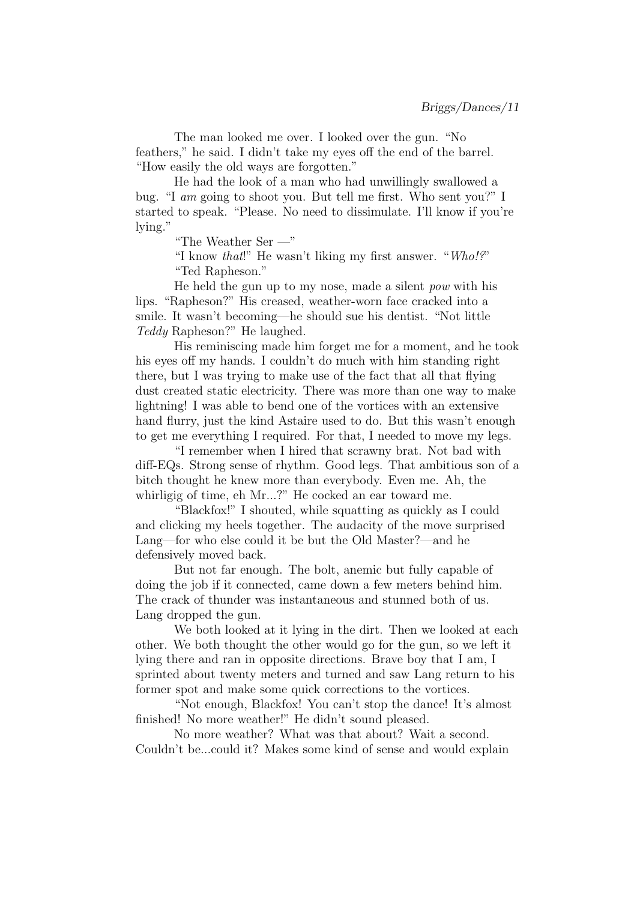The man looked me over. I looked over the gun. "No feathers," he said. I didn't take my eyes off the end of the barrel. "How easily the old ways are forgotten."

He had the look of a man who had unwillingly swallowed a bug. "I am going to shoot you. But tell me first. Who sent you?" I started to speak. "Please. No need to dissimulate. I'll know if you're lying."

"The Weather Ser —"

"I know that!" He wasn't liking my first answer. "Who!?" "Ted Rapheson."

He held the gun up to my nose, made a silent pow with his lips. "Rapheson?" His creased, weather-worn face cracked into a smile. It wasn't becoming—he should sue his dentist. "Not little Teddy Rapheson?" He laughed.

His reminiscing made him forget me for a moment, and he took his eyes off my hands. I couldn't do much with him standing right there, but I was trying to make use of the fact that all that flying dust created static electricity. There was more than one way to make lightning! I was able to bend one of the vortices with an extensive hand flurry, just the kind Astaire used to do. But this wasn't enough to get me everything I required. For that, I needed to move my legs.

"I remember when I hired that scrawny brat. Not bad with diff-EQs. Strong sense of rhythm. Good legs. That ambitious son of a bitch thought he knew more than everybody. Even me. Ah, the whirligig of time, eh Mr...?" He cocked an ear toward me.

"Blackfox!" I shouted, while squatting as quickly as I could and clicking my heels together. The audacity of the move surprised Lang—for who else could it be but the Old Master?—and he defensively moved back.

But not far enough. The bolt, anemic but fully capable of doing the job if it connected, came down a few meters behind him. The crack of thunder was instantaneous and stunned both of us. Lang dropped the gun.

We both looked at it lying in the dirt. Then we looked at each other. We both thought the other would go for the gun, so we left it lying there and ran in opposite directions. Brave boy that I am, I sprinted about twenty meters and turned and saw Lang return to his former spot and make some quick corrections to the vortices.

"Not enough, Blackfox! You can't stop the dance! It's almost finished! No more weather!" He didn't sound pleased.

No more weather? What was that about? Wait a second. Couldn't be...could it? Makes some kind of sense and would explain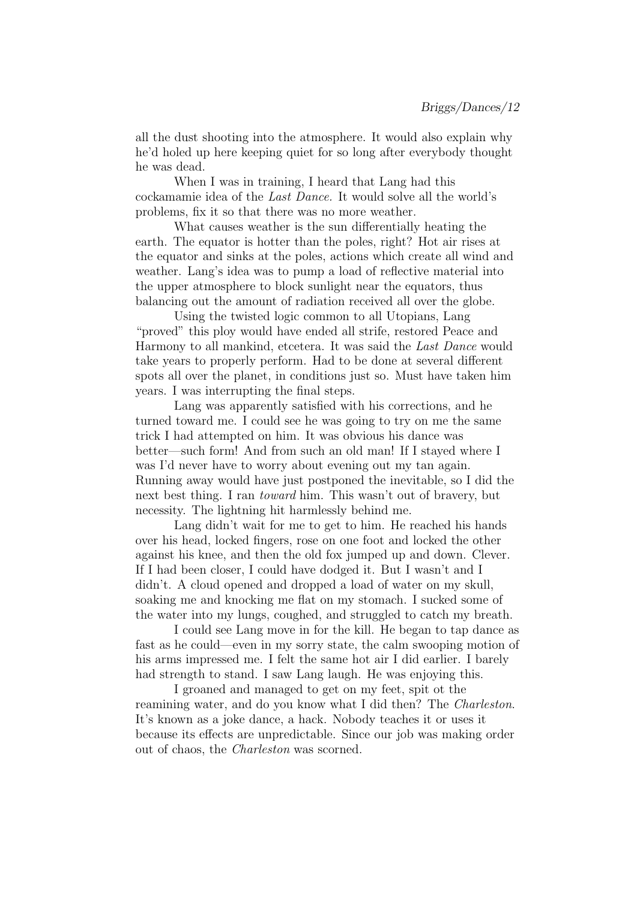all the dust shooting into the atmosphere. It would also explain why he'd holed up here keeping quiet for so long after everybody thought he was dead.

When I was in training, I heard that Lang had this cockamamie idea of the Last Dance. It would solve all the world's problems, fix it so that there was no more weather.

What causes weather is the sun differentially heating the earth. The equator is hotter than the poles, right? Hot air rises at the equator and sinks at the poles, actions which create all wind and weather. Lang's idea was to pump a load of reflective material into the upper atmosphere to block sunlight near the equators, thus balancing out the amount of radiation received all over the globe.

Using the twisted logic common to all Utopians, Lang "proved" this ploy would have ended all strife, restored Peace and Harmony to all mankind, etcetera. It was said the Last Dance would take years to properly perform. Had to be done at several different spots all over the planet, in conditions just so. Must have taken him years. I was interrupting the final steps.

Lang was apparently satisfied with his corrections, and he turned toward me. I could see he was going to try on me the same trick I had attempted on him. It was obvious his dance was better—such form! And from such an old man! If I stayed where I was I'd never have to worry about evening out my tan again. Running away would have just postponed the inevitable, so I did the next best thing. I ran toward him. This wasn't out of bravery, but necessity. The lightning hit harmlessly behind me.

Lang didn't wait for me to get to him. He reached his hands over his head, locked fingers, rose on one foot and locked the other against his knee, and then the old fox jumped up and down. Clever. If I had been closer, I could have dodged it. But I wasn't and I didn't. A cloud opened and dropped a load of water on my skull, soaking me and knocking me flat on my stomach. I sucked some of the water into my lungs, coughed, and struggled to catch my breath.

I could see Lang move in for the kill. He began to tap dance as fast as he could—even in my sorry state, the calm swooping motion of his arms impressed me. I felt the same hot air I did earlier. I barely had strength to stand. I saw Lang laugh. He was enjoying this.

I groaned and managed to get on my feet, spit ot the reamining water, and do you know what I did then? The Charleston. It's known as a joke dance, a hack. Nobody teaches it or uses it because its effects are unpredictable. Since our job was making order out of chaos, the Charleston was scorned.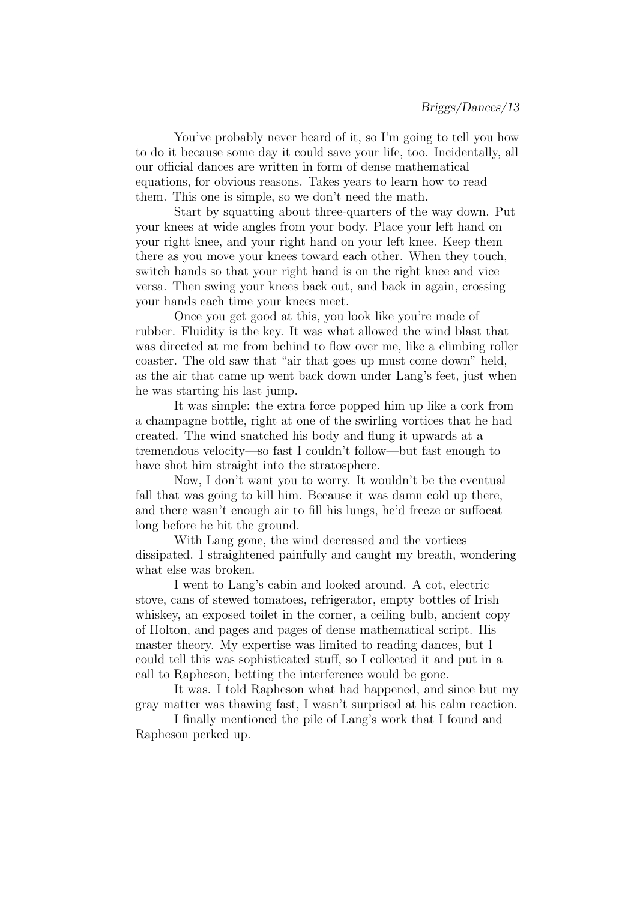You've probably never heard of it, so I'm going to tell you how to do it because some day it could save your life, too. Incidentally, all our official dances are written in form of dense mathematical equations, for obvious reasons. Takes years to learn how to read them. This one is simple, so we don't need the math.

Start by squatting about three-quarters of the way down. Put your knees at wide angles from your body. Place your left hand on your right knee, and your right hand on your left knee. Keep them there as you move your knees toward each other. When they touch, switch hands so that your right hand is on the right knee and vice versa. Then swing your knees back out, and back in again, crossing your hands each time your knees meet.

Once you get good at this, you look like you're made of rubber. Fluidity is the key. It was what allowed the wind blast that was directed at me from behind to flow over me, like a climbing roller coaster. The old saw that "air that goes up must come down" held, as the air that came up went back down under Lang's feet, just when he was starting his last jump.

It was simple: the extra force popped him up like a cork from a champagne bottle, right at one of the swirling vortices that he had created. The wind snatched his body and flung it upwards at a tremendous velocity—so fast I couldn't follow—but fast enough to have shot him straight into the stratosphere.

Now, I don't want you to worry. It wouldn't be the eventual fall that was going to kill him. Because it was damn cold up there, and there wasn't enough air to fill his lungs, he'd freeze or suffocat long before he hit the ground.

With Lang gone, the wind decreased and the vortices dissipated. I straightened painfully and caught my breath, wondering what else was broken.

I went to Lang's cabin and looked around. A cot, electric stove, cans of stewed tomatoes, refrigerator, empty bottles of Irish whiskey, an exposed toilet in the corner, a ceiling bulb, ancient copy of Holton, and pages and pages of dense mathematical script. His master theory. My expertise was limited to reading dances, but I could tell this was sophisticated stuff, so I collected it and put in a call to Rapheson, betting the interference would be gone.

It was. I told Rapheson what had happened, and since but my gray matter was thawing fast, I wasn't surprised at his calm reaction.

I finally mentioned the pile of Lang's work that I found and Rapheson perked up.